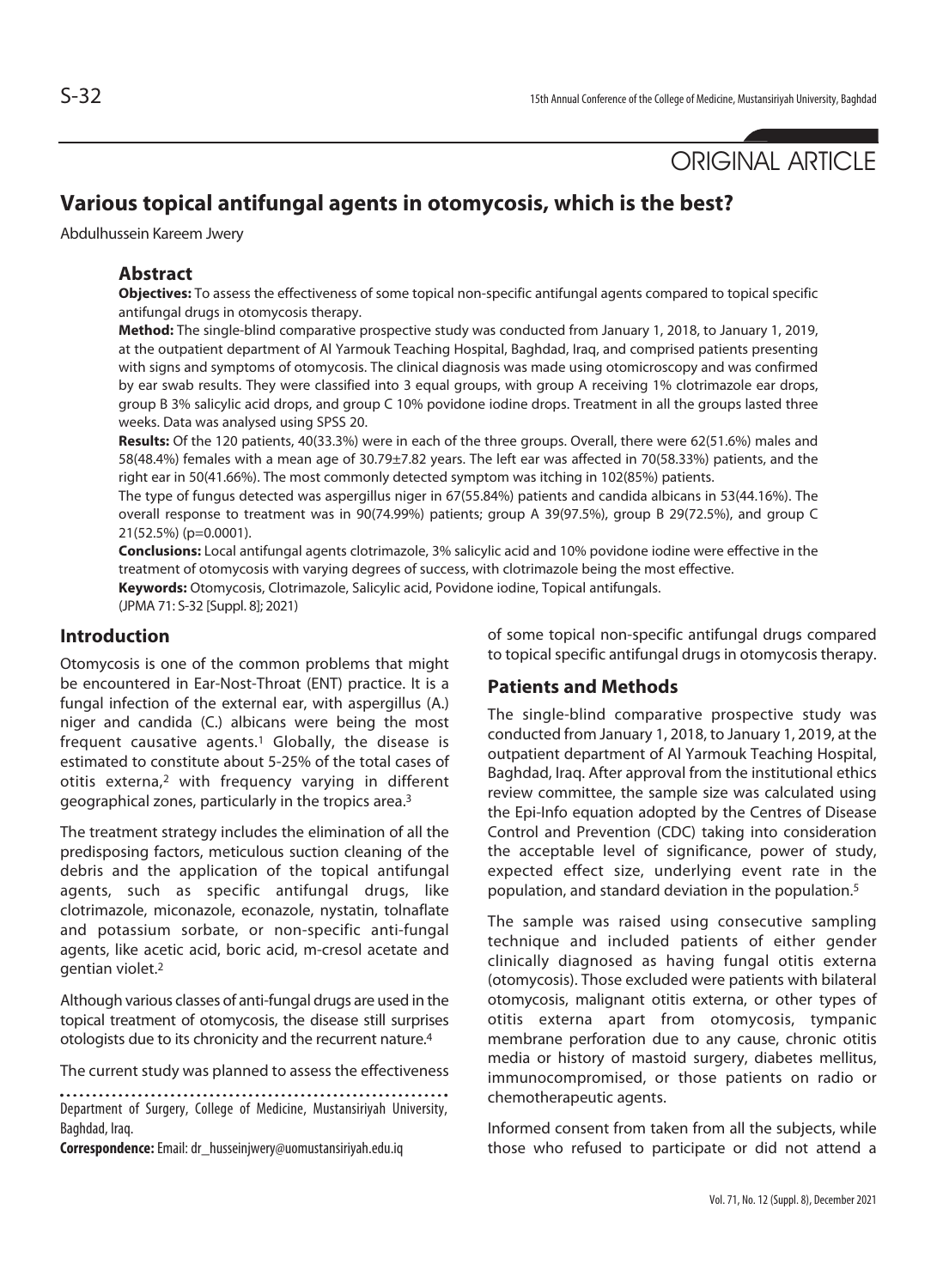ORIGINAL ARTICLE

# **Various topical antifungal agents in otomycosis, which is the best?**

Abdulhussein Kareem Jwery

### **Abstract**

**Objectives:** To assess the effectiveness of some topical non-specific antifungal agents compared to topical specific antifungal drugs in otomycosis therapy.

**Method:** The single-blind comparative prospective study was conducted from January 1, 2018, to January 1, 2019, at the outpatient department of Al Yarmouk Teaching Hospital, Baghdad, Iraq, and comprised patients presenting with signs and symptoms of otomycosis. The clinical diagnosis was made using otomicroscopy and was confirmed by ear swab results. They were classified into 3 equal groups, with group A receiving 1% clotrimazole ear drops, group B 3% salicylic acid drops, and group C 10% povidone iodine drops. Treatment in all the groups lasted three weeks. Data was analysed using SPSS 20.

**Results:** Of the 120 patients, 40(33.3%) were in each of the three groups. Overall, there were 62(51.6%) males and 58(48.4%) females with a mean age of 30.79±7.82 years. The left ear was affected in 70(58.33%) patients, and the right ear in 50(41.66%). The most commonly detected symptom was itching in 102(85%) patients.

The type of fungus detected was aspergillus niger in 67(55.84%) patients and candida albicans in 53(44.16%). The overall response to treatment was in 90(74.99%) patients; group A 39(97.5%), group B 29(72.5%), and group C 21(52.5%) (p=0.0001).

**Conclusions:** Local antifungal agents clotrimazole, 3% salicylic acid and 10% povidone iodine were effective in the treatment of otomycosis with varying degrees of success, with clotrimazole being the most effective. **Keywords:** Otomycosis, Clotrimazole, Salicylic acid, Povidone iodine, Topical antifungals.

(JPMA 71: S-32 [Suppl. 8]; 2021)

### **Introduction**

Otomycosis is one of the common problems that might be encountered in Ear-Nost-Throat (ENT) practice. It is a fungal infection of the external ear, with aspergillus (A.) niger and candida (C.) albicans were being the most frequent causative agents.<sup>1</sup> Globally, the disease is estimated to constitute about 5-25% of the total cases of otitis externa,2 with frequency varying in different geographical zones, particularly in the tropics area.3

The treatment strategy includes the elimination of all the predisposing factors, meticulous suction cleaning of the debris and the application of the topical antifungal agents, such as specific antifungal drugs, like clotrimazole, miconazole, econazole, nystatin, tolnaflate and potassium sorbate, or non-specific anti-fungal agents, like acetic acid, boric acid, m-cresol acetate and gentian violet.2

Although various classes of anti-fungal drugs are used in the topical treatment of otomycosis, the disease still surprises otologists due to its chronicity and the recurrent nature.4

The current study was planned to assess the effectiveness

Department of Surgery, College of Medicine, Mustansiriyah University, Baghdad, Iraq.

**Correspondence:** Email: dr\_husseinjwery@uomustansiriyah.edu.iq

of some topical non-specific antifungal drugs compared to topical specific antifungal drugs in otomycosis therapy.

# **Patients and Methods**

The single-blind comparative prospective study was conducted from January 1, 2018, to January 1, 2019, at the outpatient department of Al Yarmouk Teaching Hospital, Baghdad, Iraq. After approval from the institutional ethics review committee, the sample size was calculated using the Epi-Info equation adopted by the Centres of Disease Control and Prevention (CDC) taking into consideration the acceptable level of significance, power of study, expected effect size, underlying event rate in the population, and standard deviation in the population.5

The sample was raised using consecutive sampling technique and included patients of either gender clinically diagnosed as having fungal otitis externa (otomycosis). Those excluded were patients with bilateral otomycosis, malignant otitis externa, or other types of otitis externa apart from otomycosis, tympanic membrane perforation due to any cause, chronic otitis media or history of mastoid surgery, diabetes mellitus, immunocompromised, or those patients on radio or chemotherapeutic agents.

Informed consent from taken from all the subjects, while those who refused to participate or did not attend a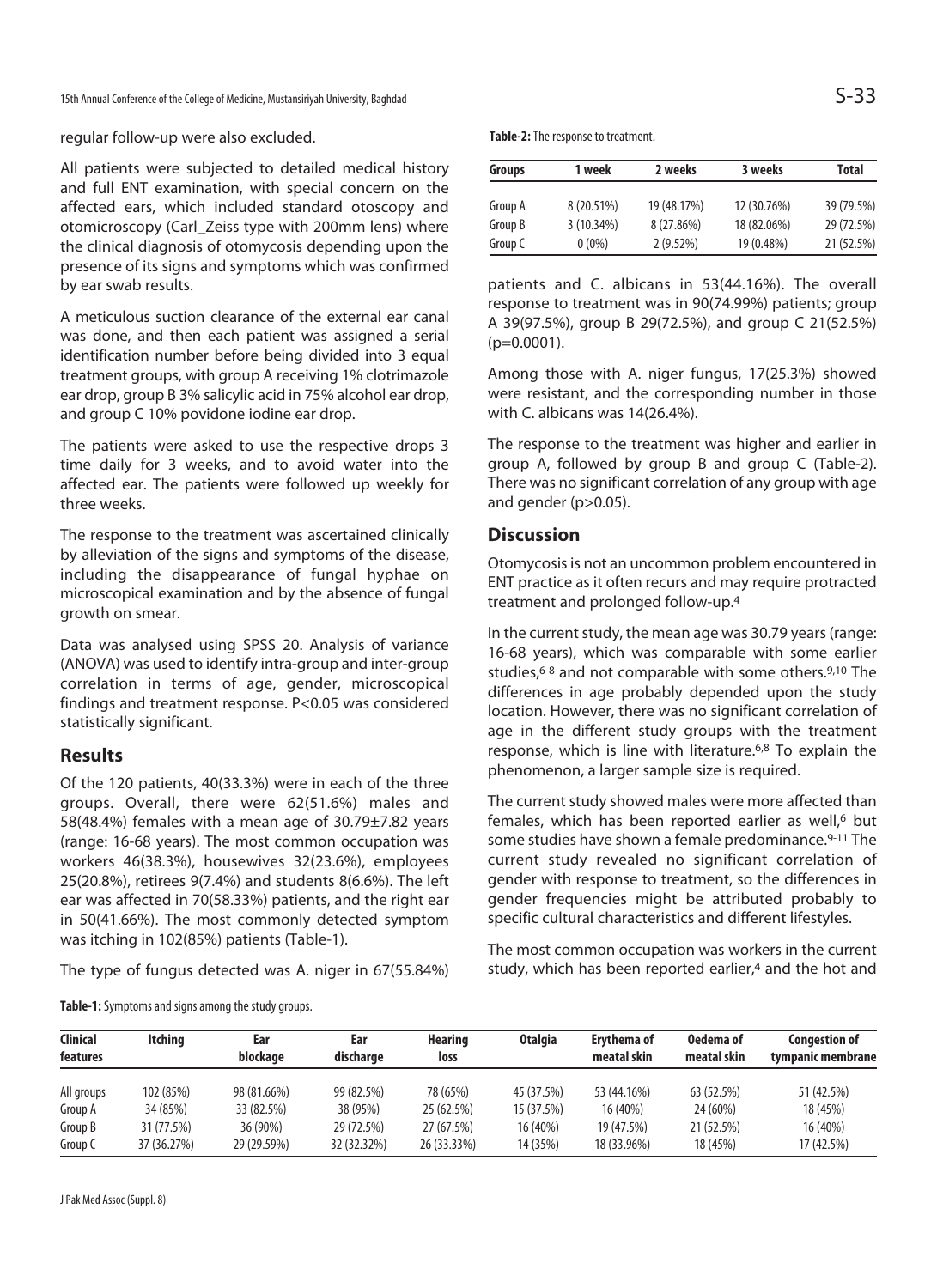regular follow-up were also excluded.

All patients were subjected to detailed medical history and full ENT examination, with special concern on the affected ears, which included standard otoscopy and otomicroscopy (Carl\_Zeiss type with 200mm lens) where the clinical diagnosis of otomycosis depending upon the presence of its signs and symptoms which was confirmed by ear swab results.

A meticulous suction clearance of the external ear canal was done, and then each patient was assigned a serial identification number before being divided into 3 equal treatment groups, with group A receiving 1% clotrimazole ear drop, group B 3% salicylic acid in 75% alcohol ear drop, and group C 10% povidone iodine ear drop.

The patients were asked to use the respective drops 3 time daily for 3 weeks, and to avoid water into the affected ear. The patients were followed up weekly for three weeks.

The response to the treatment was ascertained clinically by alleviation of the signs and symptoms of the disease, including the disappearance of fungal hyphae on microscopical examination and by the absence of fungal growth on smear.

Data was analysed using SPSS 20. Analysis of variance (ANOVA) was used to identify intra-group and inter-group correlation in terms of age, gender, microscopical findings and treatment response. P<0.05 was considered statistically significant.

# **Results**

Of the 120 patients, 40(33.3%) were in each of the three groups. Overall, there were 62(51.6%) males and 58(48.4%) females with a mean age of 30.79±7.82 years (range: 16-68 years). The most common occupation was workers 46(38.3%), housewives 32(23.6%), employees 25(20.8%), retirees 9(7.4%) and students 8(6.6%). The left ear was affected in 70(58.33%) patients, and the right ear in 50(41.66%). The most commonly detected symptom was itching in 102(85%) patients (Table-1).

The type of fungus detected was A. niger in 67(55.84%)

**Table-1:** Symptoms and signs among the study groups.

| Groups  | 1 week     | 2 weeks     | 3 weeks     | Total      |  |
|---------|------------|-------------|-------------|------------|--|
| Group A | 8 (20.51%) | 19 (48.17%) | 12 (30.76%) | 39 (79.5%) |  |
| Group B | 3(10.34%)  | 8 (27.86%)  | 18 (82.06%) | 29 (72.5%) |  |
| Group C | $0(0\%)$   | $2(9.52\%)$ | 19 (0.48%)  | 21 (52.5%) |  |

patients and C. albicans in 53(44.16%). The overall response to treatment was in 90(74.99%) patients; group A 39(97.5%), group B 29(72.5%), and group C 21(52.5%)  $(p=0.0001)$ .

Among those with A. niger fungus, 17(25.3%) showed were resistant, and the corresponding number in those with C. albicans was 14(26.4%).

The response to the treatment was higher and earlier in group A, followed by group B and group C (Table-2). There was no significant correlation of any group with age and gender (p>0.05).

## **Discussion**

Otomycosis is not an uncommon problem encountered in ENT practice as it often recurs and may require protracted treatment and prolonged follow-up.4

In the current study, the mean age was 30.79 years (range: 16-68 years), which was comparable with some earlier studies,<sup>6-8</sup> and not comparable with some others.<sup>9,10</sup> The differences in age probably depended upon the study location. However, there was no significant correlation of age in the different study groups with the treatment response, which is line with literature.6,8 To explain the phenomenon, a larger sample size is required.

The current study showed males were more affected than females, which has been reported earlier as well,<sup>6</sup> but some studies have shown a female predominance.<sup>9-11</sup> The current study revealed no significant correlation of gender with response to treatment, so the differences in gender frequencies might be attributed probably to specific cultural characteristics and different lifestyles.

The most common occupation was workers in the current study, which has been reported earlier,<sup>4</sup> and the hot and

| Clinical   | Itchina     | Ear<br>blockage | Ear<br>discharge | Hearing<br>loss | <b>Otalgia</b> | Ervthema of<br>meatal skin | Oedema of<br>meatal skin | <b>Congestion of</b><br>tympanic membrane |
|------------|-------------|-----------------|------------------|-----------------|----------------|----------------------------|--------------------------|-------------------------------------------|
| features   |             |                 |                  |                 |                |                            |                          |                                           |
| All groups | 102 (85%)   | 98 (81.66%)     | 99 (82.5%)       | 78 (65%)        | 45 (37.5%)     | 53 (44.16%)                | 63 (52.5%)               | 51 (42.5%)                                |
| Group A    | 34 (85%)    | 33 (82.5%)      | 38 (95%)         | 25 (62.5%)      | 15 (37.5%)     | 16 (40%)                   | 24 (60%)                 | 18 (45%)                                  |
| Group B    | 31 (77.5%)  | 36 (90%)        | 29 (72.5%)       | 27 (67.5%)      | 16 (40%)       | 19 (47.5%)                 | 21 (52.5%)               | 16 (40%)                                  |
| Group C    | 37 (36.27%) | 29 (29.59%)     | 32 (32.32%)      | 26 (33.33%)     | 14 (35%)       | 18 (33.96%)                | 18 (45%)                 | 17 (42.5%)                                |